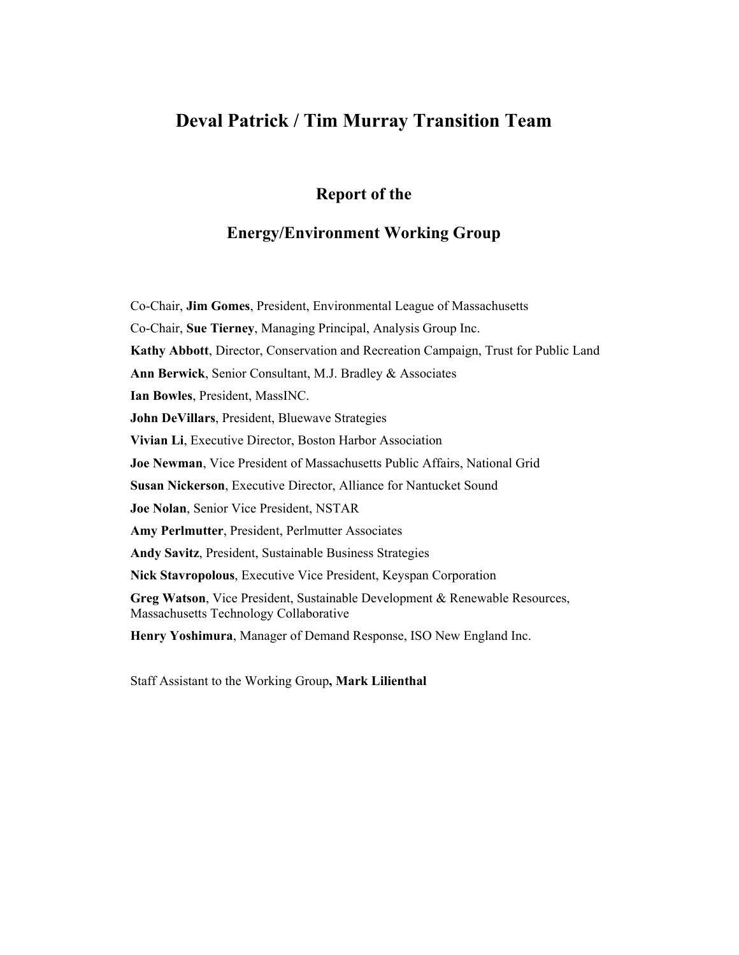## **Deval Patrick / Tim Murray Transition Team**

### **Report of the**

### **Energy/Environment Working Group**

Co-Chair, **Jim Gomes**, President, Environmental League of Massachusetts Co-Chair, **Sue Tierney**, Managing Principal, Analysis Group Inc. **Kathy Abbott**, Director, Conservation and Recreation Campaign, Trust for Public Land **Ann Berwick**, Senior Consultant, M.J. Bradley & Associates **Ian Bowles**, President, MassINC. **John DeVillars**, President, Bluewave Strategies **Vivian Li**, Executive Director, Boston Harbor Association **Joe Newman**, Vice President of Massachusetts Public Affairs, National Grid **Susan Nickerson**, Executive Director, Alliance for Nantucket Sound **Joe Nolan**, Senior Vice President, NSTAR **Amy Perlmutter**, President, Perlmutter Associates **Andy Savitz**, President, Sustainable Business Strategies **Nick Stavropolous**, Executive Vice President, Keyspan Corporation **Greg Watson**, Vice President, Sustainable Development & Renewable Resources, Massachusetts Technology Collaborative **Henry Yoshimura**, Manager of Demand Response, ISO New England Inc.

Staff Assistant to the Working Group**, Mark Lilienthal**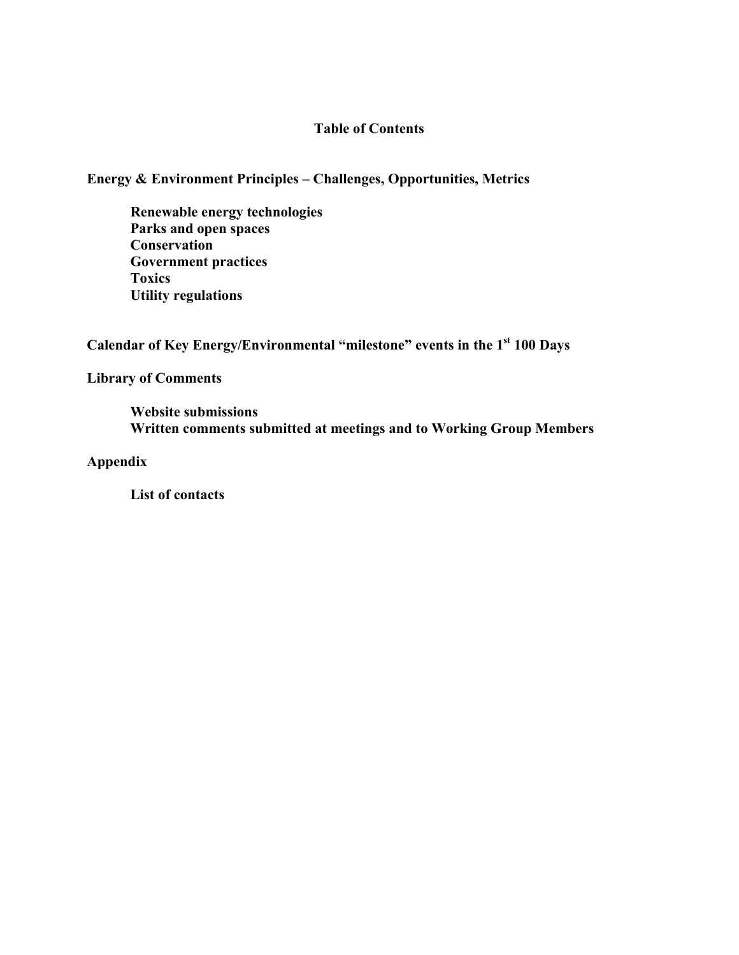### **Table of Contents**

### **Energy & Environment Principles – Challenges, Opportunities, Metrics**

**Renewable energy technologies Parks and open spaces Conservation Government practices Toxics Utility regulations** 

Calendar of Key Energy/Environmental "milestone" events in the 1<sup>st</sup> 100 Days

### **Library of Comments**

**Website submissions Written comments submitted at meetings and to Working Group Members** 

### **Appendix**

**List of contacts**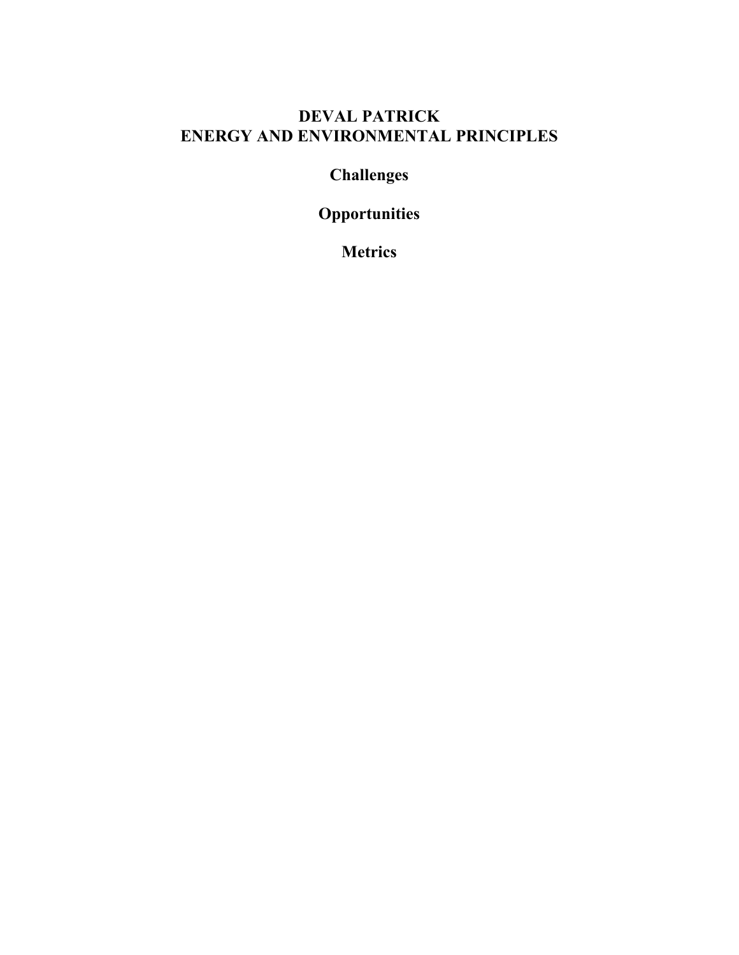## **DEVAL PATRICK ENERGY AND ENVIRONMENTAL PRINCIPLES**

# **Challenges**

# **Opportunities**

**Metrics**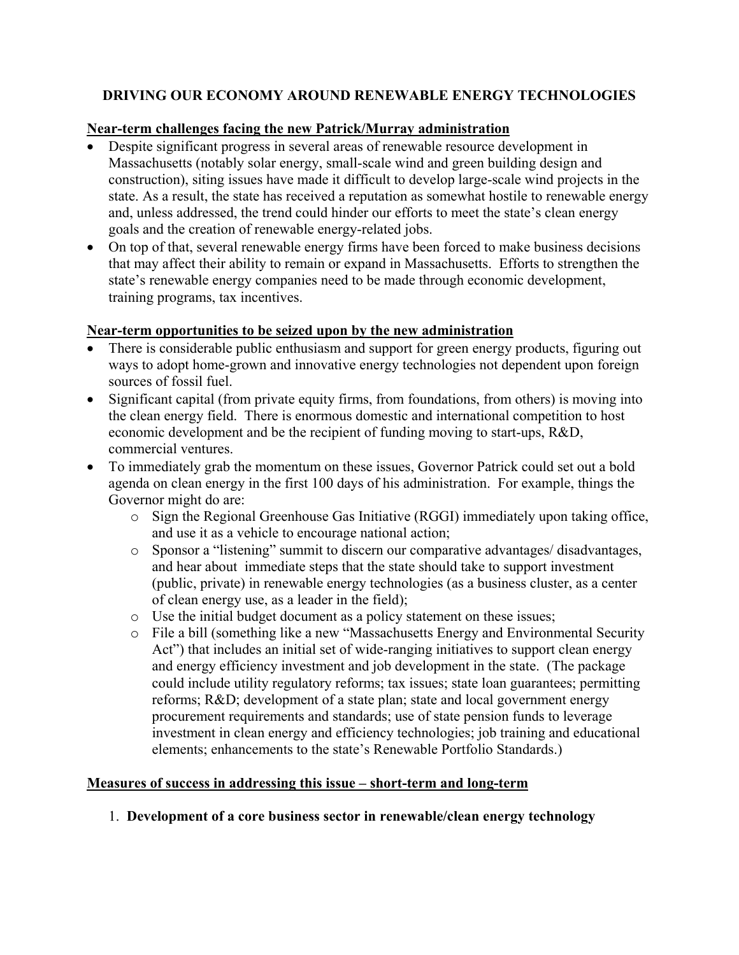### **DRIVING OUR ECONOMY AROUND RENEWABLE ENERGY TECHNOLOGIES**

### **Near-term challenges facing the new Patrick/Murray administration**

- Despite significant progress in several areas of renewable resource development in Massachusetts (notably solar energy, small-scale wind and green building design and construction), siting issues have made it difficult to develop large-scale wind projects in the state. As a result, the state has received a reputation as somewhat hostile to renewable energy and, unless addressed, the trend could hinder our efforts to meet the state's clean energy goals and the creation of renewable energy-related jobs.
- On top of that, several renewable energy firms have been forced to make business decisions that may affect their ability to remain or expand in Massachusetts. Efforts to strengthen the state's renewable energy companies need to be made through economic development, training programs, tax incentives.

### **Near-term opportunities to be seized upon by the new administration**

- There is considerable public enthusiasm and support for green energy products, figuring out ways to adopt home-grown and innovative energy technologies not dependent upon foreign sources of fossil fuel.
- Significant capital (from private equity firms, from foundations, from others) is moving into the clean energy field. There is enormous domestic and international competition to host economic development and be the recipient of funding moving to start-ups, R&D, commercial ventures.
- To immediately grab the momentum on these issues, Governor Patrick could set out a bold agenda on clean energy in the first 100 days of his administration. For example, things the Governor might do are:
	- o Sign the Regional Greenhouse Gas Initiative (RGGI) immediately upon taking office, and use it as a vehicle to encourage national action;
	- o Sponsor a "listening" summit to discern our comparative advantages/ disadvantages, and hear about immediate steps that the state should take to support investment (public, private) in renewable energy technologies (as a business cluster, as a center of clean energy use, as a leader in the field);
	- o Use the initial budget document as a policy statement on these issues;
	- o File a bill (something like a new "Massachusetts Energy and Environmental Security Act") that includes an initial set of wide-ranging initiatives to support clean energy and energy efficiency investment and job development in the state. (The package could include utility regulatory reforms; tax issues; state loan guarantees; permitting reforms; R&D; development of a state plan; state and local government energy procurement requirements and standards; use of state pension funds to leverage investment in clean energy and efficiency technologies; job training and educational elements; enhancements to the state's Renewable Portfolio Standards.)

### **Measures of success in addressing this issue – short-term and long-term**

### 1. **Development of a core business sector in renewable/clean energy technology**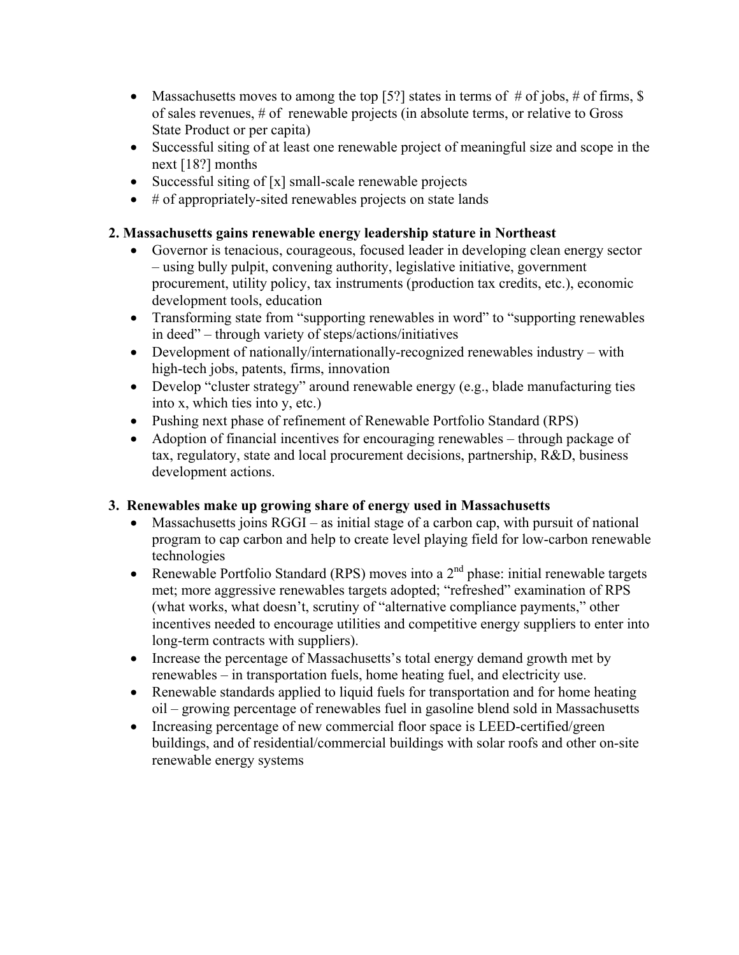- Massachusetts moves to among the top [5?] states in terms of  $#$  of jobs,  $#$  of firms, \$ of sales revenues, # of renewable projects (in absolute terms, or relative to Gross State Product or per capita)
- Successful siting of at least one renewable project of meaningful size and scope in the next [18?] months
- Successful siting of [x] small-scale renewable projects
- # of appropriately-sited renewables projects on state lands

### **2. Massachusetts gains renewable energy leadership stature in Northeast**

- Governor is tenacious, courageous, focused leader in developing clean energy sector – using bully pulpit, convening authority, legislative initiative, government procurement, utility policy, tax instruments (production tax credits, etc.), economic development tools, education
- Transforming state from "supporting renewables in word" to "supporting renewables in deed" – through variety of steps/actions/initiatives
- Development of nationally/internationally-recognized renewables industry with high-tech jobs, patents, firms, innovation
- Develop "cluster strategy" around renewable energy (e.g., blade manufacturing ties into x, which ties into y, etc.)
- Pushing next phase of refinement of Renewable Portfolio Standard (RPS)
- Adoption of financial incentives for encouraging renewables through package of tax, regulatory, state and local procurement decisions, partnership, R&D, business development actions.

### **3. Renewables make up growing share of energy used in Massachusetts**

- Massachusetts joins RGGI as initial stage of a carbon cap, with pursuit of national program to cap carbon and help to create level playing field for low-carbon renewable technologies
- Renewable Portfolio Standard (RPS) moves into a  $2<sup>nd</sup>$  phase: initial renewable targets met; more aggressive renewables targets adopted; "refreshed" examination of RPS (what works, what doesn't, scrutiny of "alternative compliance payments," other incentives needed to encourage utilities and competitive energy suppliers to enter into long-term contracts with suppliers).
- Increase the percentage of Massachusetts's total energy demand growth met by renewables – in transportation fuels, home heating fuel, and electricity use.
- Renewable standards applied to liquid fuels for transportation and for home heating oil – growing percentage of renewables fuel in gasoline blend sold in Massachusetts
- Increasing percentage of new commercial floor space is LEED-certified/green buildings, and of residential/commercial buildings with solar roofs and other on-site renewable energy systems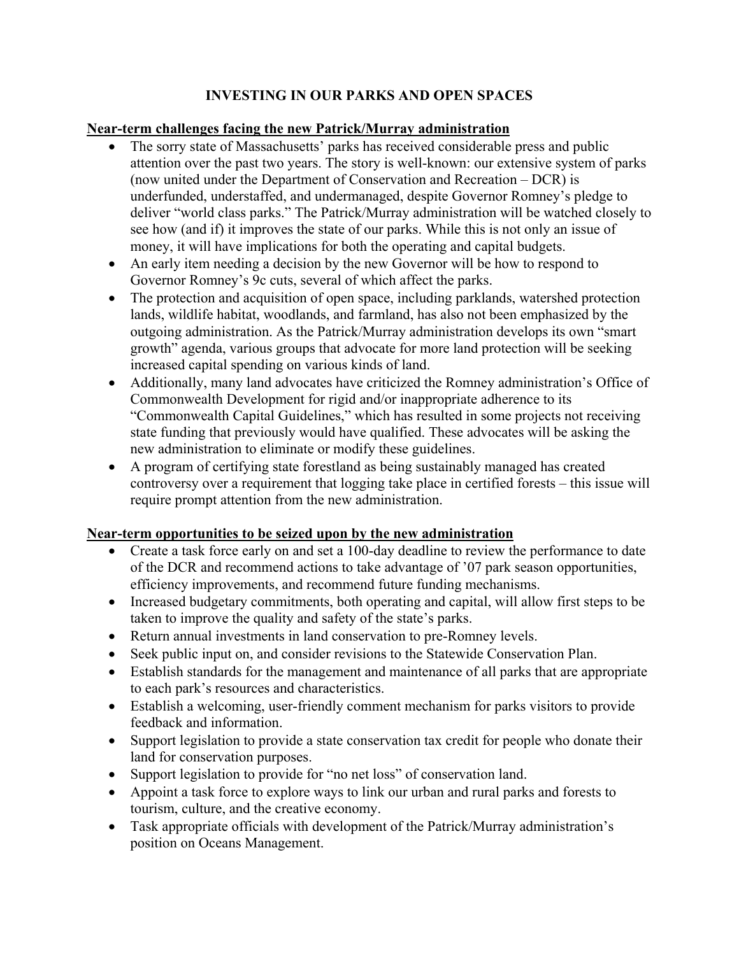### **INVESTING IN OUR PARKS AND OPEN SPACES**

### **Near-term challenges facing the new Patrick/Murray administration**

- The sorry state of Massachusetts' parks has received considerable press and public attention over the past two years. The story is well-known: our extensive system of parks (now united under the Department of Conservation and Recreation – DCR) is underfunded, understaffed, and undermanaged, despite Governor Romney's pledge to deliver "world class parks." The Patrick/Murray administration will be watched closely to see how (and if) it improves the state of our parks. While this is not only an issue of money, it will have implications for both the operating and capital budgets.
- An early item needing a decision by the new Governor will be how to respond to Governor Romney's 9c cuts, several of which affect the parks.
- The protection and acquisition of open space, including parklands, watershed protection lands, wildlife habitat, woodlands, and farmland, has also not been emphasized by the outgoing administration. As the Patrick/Murray administration develops its own "smart growth" agenda, various groups that advocate for more land protection will be seeking increased capital spending on various kinds of land.
- Additionally, many land advocates have criticized the Romney administration's Office of Commonwealth Development for rigid and/or inappropriate adherence to its "Commonwealth Capital Guidelines," which has resulted in some projects not receiving state funding that previously would have qualified. These advocates will be asking the new administration to eliminate or modify these guidelines.
- A program of certifying state forestland as being sustainably managed has created controversy over a requirement that logging take place in certified forests – this issue will require prompt attention from the new administration.

### **Near-term opportunities to be seized upon by the new administration**

- Create a task force early on and set a 100-day deadline to review the performance to date of the DCR and recommend actions to take advantage of '07 park season opportunities, efficiency improvements, and recommend future funding mechanisms.
- Increased budgetary commitments, both operating and capital, will allow first steps to be taken to improve the quality and safety of the state's parks.
- Return annual investments in land conservation to pre-Romney levels.
- Seek public input on, and consider revisions to the Statewide Conservation Plan.
- Establish standards for the management and maintenance of all parks that are appropriate to each park's resources and characteristics.
- Establish a welcoming, user-friendly comment mechanism for parks visitors to provide feedback and information.
- Support legislation to provide a state conservation tax credit for people who donate their land for conservation purposes.
- Support legislation to provide for "no net loss" of conservation land.
- Appoint a task force to explore ways to link our urban and rural parks and forests to tourism, culture, and the creative economy.
- Task appropriate officials with development of the Patrick/Murray administration's position on Oceans Management.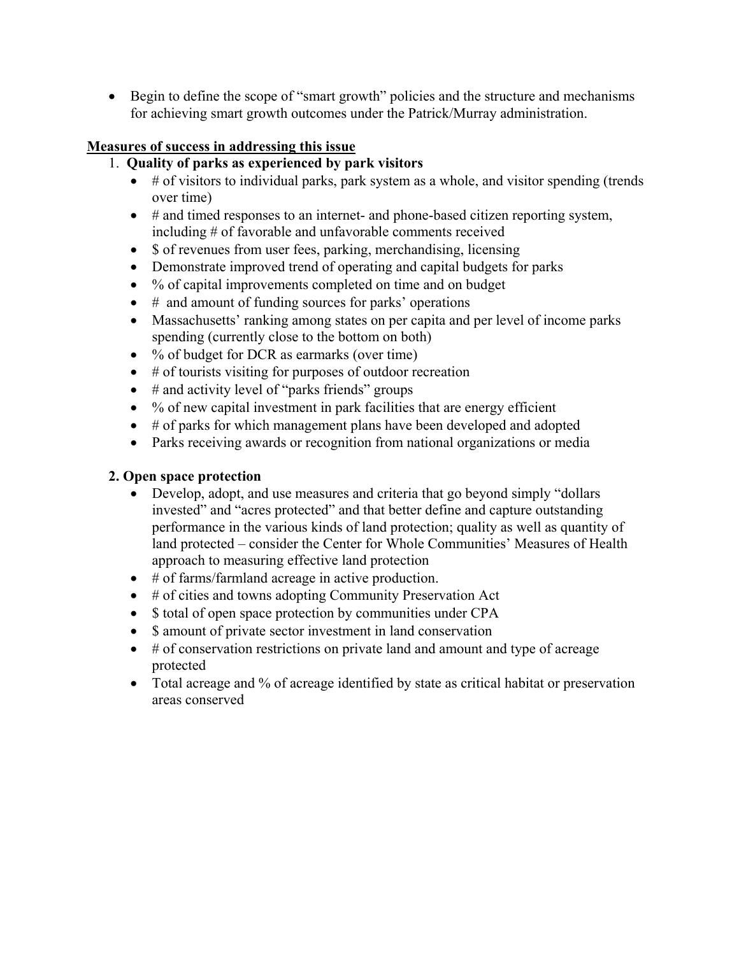• Begin to define the scope of "smart growth" policies and the structure and mechanisms for achieving smart growth outcomes under the Patrick/Murray administration.

### **Measures of success in addressing this issue**

### 1. **Quality of parks as experienced by park visitors**

- $\bullet$  # of visitors to individual parks, park system as a whole, and visitor spending (trends over time)
- # and timed responses to an internet- and phone-based citizen reporting system, including # of favorable and unfavorable comments received
- \$ of revenues from user fees, parking, merchandising, licensing
- Demonstrate improved trend of operating and capital budgets for parks
- % of capital improvements completed on time and on budget
- # and amount of funding sources for parks' operations
- Massachusetts' ranking among states on per capita and per level of income parks spending (currently close to the bottom on both)
- % of budget for DCR as earmarks (over time)
- $\bullet$  # of tourists visiting for purposes of outdoor recreation
- $\bullet$  # and activity level of "parks friends" groups
- $\bullet$  % of new capital investment in park facilities that are energy efficient
- # of parks for which management plans have been developed and adopted
- Parks receiving awards or recognition from national organizations or media

### **2. Open space protection**

- Develop, adopt, and use measures and criteria that go beyond simply "dollars invested" and "acres protected" and that better define and capture outstanding performance in the various kinds of land protection; quality as well as quantity of land protected – consider the Center for Whole Communities' Measures of Health approach to measuring effective land protection
- # of farms/farmland acreage in active production.
- # of cities and towns adopting Community Preservation Act
- \$ total of open space protection by communities under CPA
- \$ amount of private sector investment in land conservation
- # of conservation restrictions on private land and amount and type of acreage protected
- Total acreage and % of acreage identified by state as critical habitat or preservation areas conserved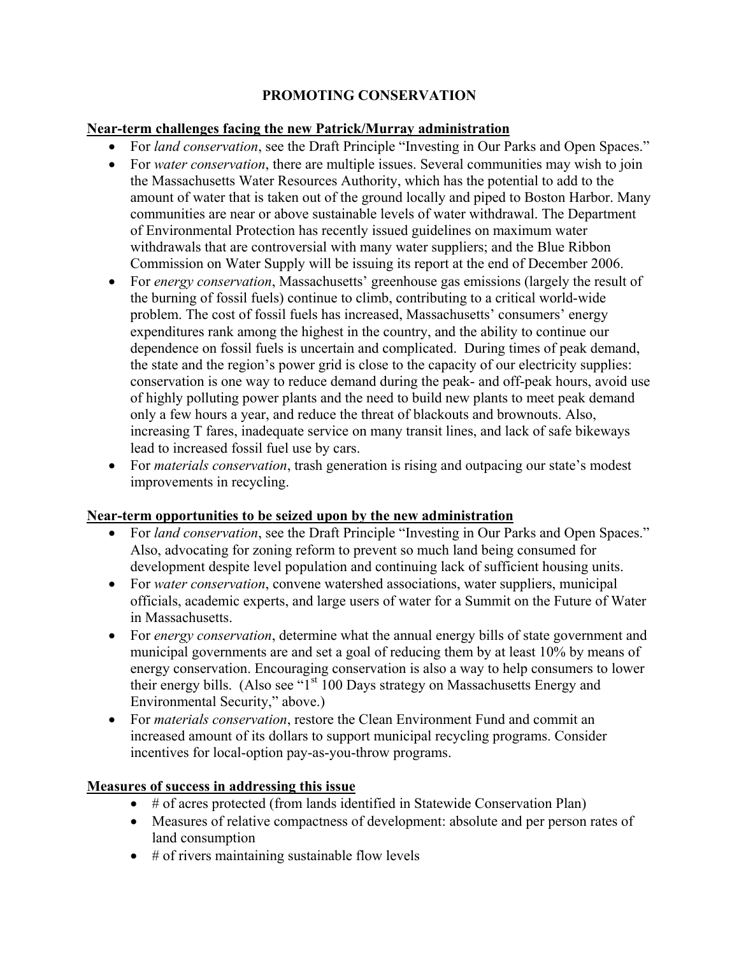### **PROMOTING CONSERVATION**

### **Near-term challenges facing the new Patrick/Murray administration**

- For *land conservation*, see the Draft Principle "Investing in Our Parks and Open Spaces."
- For *water conservation*, there are multiple issues. Several communities may wish to join the Massachusetts Water Resources Authority, which has the potential to add to the amount of water that is taken out of the ground locally and piped to Boston Harbor. Many communities are near or above sustainable levels of water withdrawal. The Department of Environmental Protection has recently issued guidelines on maximum water withdrawals that are controversial with many water suppliers; and the Blue Ribbon Commission on Water Supply will be issuing its report at the end of December 2006.
- For *energy conservation*, Massachusetts' greenhouse gas emissions (largely the result of the burning of fossil fuels) continue to climb, contributing to a critical world-wide problem. The cost of fossil fuels has increased, Massachusetts' consumers' energy expenditures rank among the highest in the country, and the ability to continue our dependence on fossil fuels is uncertain and complicated. During times of peak demand, the state and the region's power grid is close to the capacity of our electricity supplies: conservation is one way to reduce demand during the peak- and off-peak hours, avoid use of highly polluting power plants and the need to build new plants to meet peak demand only a few hours a year, and reduce the threat of blackouts and brownouts. Also, increasing T fares, inadequate service on many transit lines, and lack of safe bikeways lead to increased fossil fuel use by cars.
- For *materials conservation*, trash generation is rising and outpacing our state's modest improvements in recycling.

### **Near-term opportunities to be seized upon by the new administration**

- For *land conservation*, see the Draft Principle "Investing in Our Parks and Open Spaces." Also, advocating for zoning reform to prevent so much land being consumed for development despite level population and continuing lack of sufficient housing units.
- For *water conservation*, convene watershed associations, water suppliers, municipal officials, academic experts, and large users of water for a Summit on the Future of Water in Massachusetts.
- For *energy conservation*, determine what the annual energy bills of state government and municipal governments are and set a goal of reducing them by at least 10% by means of energy conservation. Encouraging conservation is also a way to help consumers to lower their energy bills. (Also see "1<sup>st</sup> 100 Days strategy on Massachusetts Energy and Environmental Security," above.)
- For *materials conservation*, restore the Clean Environment Fund and commit an increased amount of its dollars to support municipal recycling programs. Consider incentives for local-option pay-as-you-throw programs.

### **Measures of success in addressing this issue**

- # of acres protected (from lands identified in Statewide Conservation Plan)
- Measures of relative compactness of development: absolute and per person rates of land consumption
- $\bullet$  # of rivers maintaining sustainable flow levels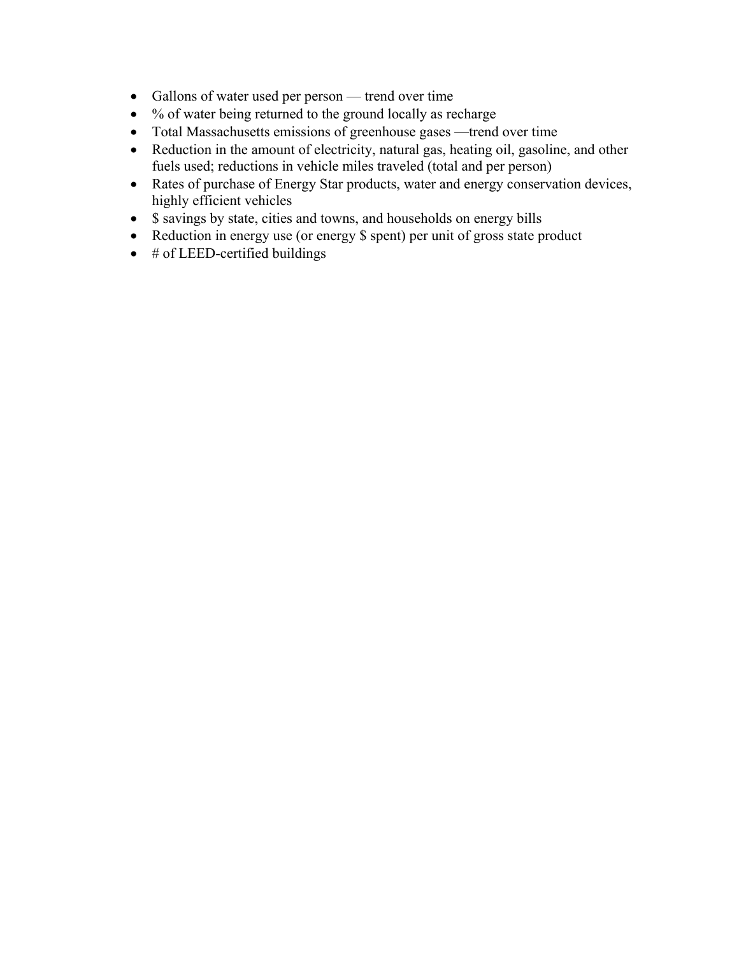- Gallons of water used per person trend over time
- % of water being returned to the ground locally as recharge
- Total Massachusetts emissions of greenhouse gases —trend over time
- Reduction in the amount of electricity, natural gas, heating oil, gasoline, and other fuels used; reductions in vehicle miles traveled (total and per person)
- Rates of purchase of Energy Star products, water and energy conservation devices, highly efficient vehicles
- \$ savings by state, cities and towns, and households on energy bills
- Reduction in energy use (or energy \$ spent) per unit of gross state product
- $\bullet$  # of LEED-certified buildings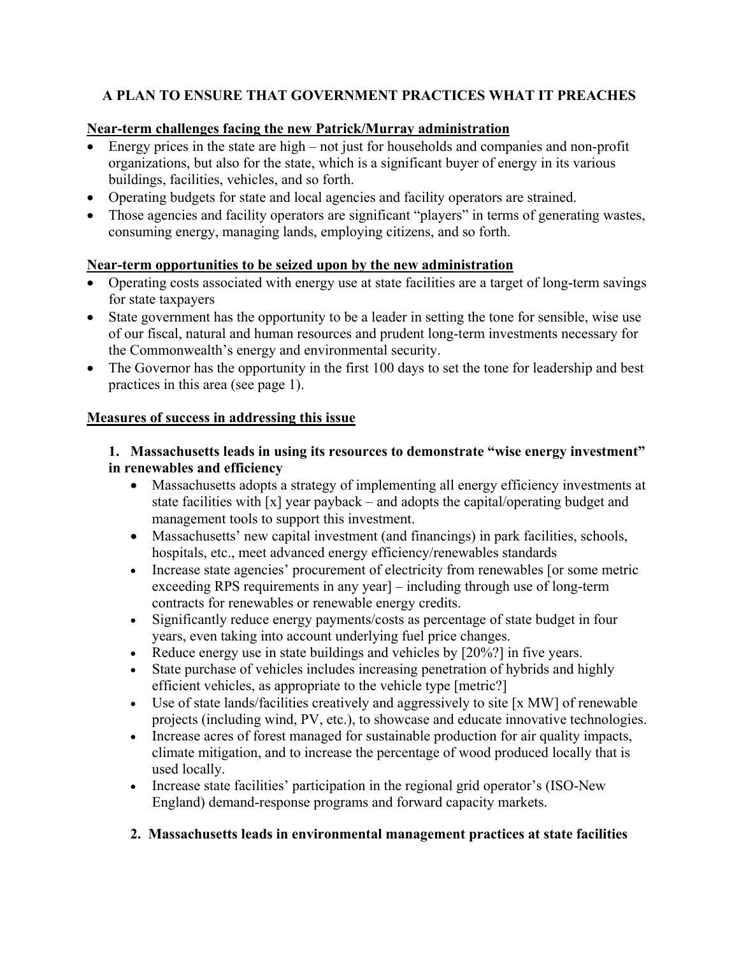### **A PLAN TO ENSURE THAT GOVERNMENT PRACTICES WHAT IT PREACHES**

### **Near-term challenges facing the new Patrick/Murray administration**

- Energy prices in the state are high not just for households and companies and non-profit organizations, but also for the state, which is a significant buyer of energy in its various buildings, facilities, vehicles, and so forth.
- Operating budgets for state and local agencies and facility operators are strained.
- Those agencies and facility operators are significant "players" in terms of generating wastes, consuming energy, managing lands, employing citizens, and so forth.

### **Near-term opportunities to be seized upon by the new administration**

- Operating costs associated with energy use at state facilities are a target of long-term savings for state taxpayers
- State government has the opportunity to be a leader in setting the tone for sensible, wise use of our fiscal, natural and human resources and prudent long-term investments necessary for the Commonwealth's energy and environmental security.
- The Governor has the opportunity in the first 100 days to set the tone for leadership and best practices in this area (see page 1).

### **Measures of success in addressing this issue**

### **1. Massachusetts leads in using its resources to demonstrate "wise energy investment" in renewables and efficiency**

- Massachusetts adopts a strategy of implementing all energy efficiency investments at state facilities with [x] year payback – and adopts the capital/operating budget and management tools to support this investment.
- Massachusetts' new capital investment (and financings) in park facilities, schools, hospitals, etc., meet advanced energy efficiency/renewables standards
- Increase state agencies' procurement of electricity from renewables [or some metric exceeding RPS requirements in any year] – including through use of long-term contracts for renewables or renewable energy credits.
- Significantly reduce energy payments/costs as percentage of state budget in four years, even taking into account underlying fuel price changes.
- Reduce energy use in state buildings and vehicles by [20%?] in five years.
- State purchase of vehicles includes increasing penetration of hybrids and highly efficient vehicles, as appropriate to the vehicle type [metric?]
- Use of state lands/facilities creatively and aggressively to site [x MW] of renewable projects (including wind, PV, etc.), to showcase and educate innovative technologies.
- Increase acres of forest managed for sustainable production for air quality impacts, climate mitigation, and to increase the percentage of wood produced locally that is used locally.
- Increase state facilities' participation in the regional grid operator's (ISO-New England) demand-response programs and forward capacity markets.
- **2. Massachusetts leads in environmental management practices at state facilities**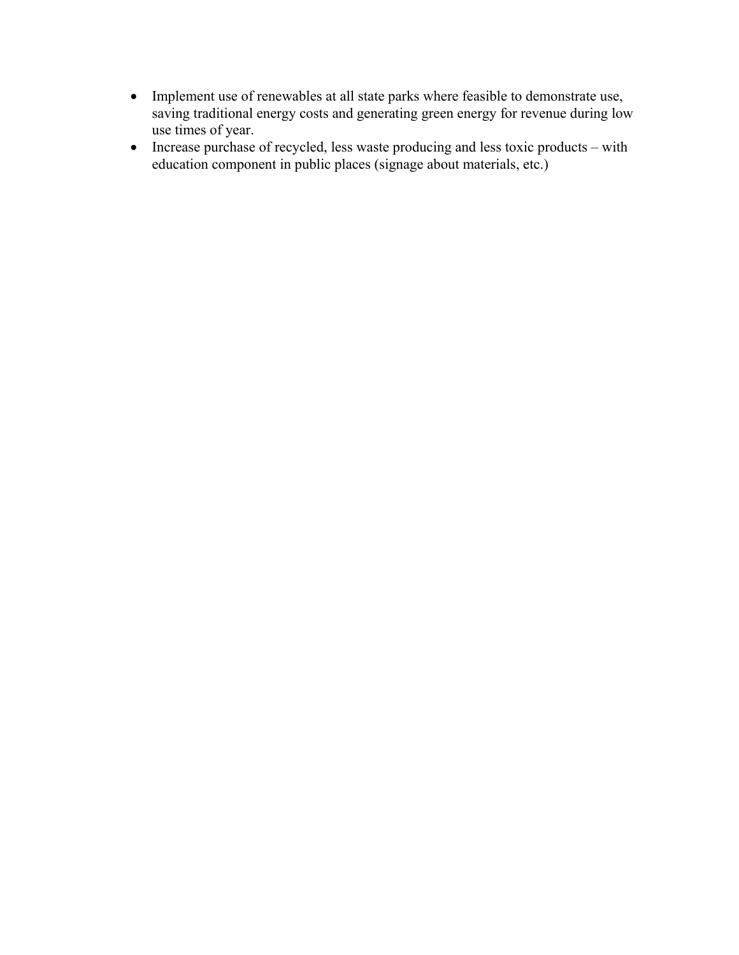- Implement use of renewables at all state parks where feasible to demonstrate use, saving traditional energy costs and generating green energy for revenue during low use times of year.
- Increase purchase of recycled, less waste producing and less toxic products with education component in public places (signage about materials, etc.)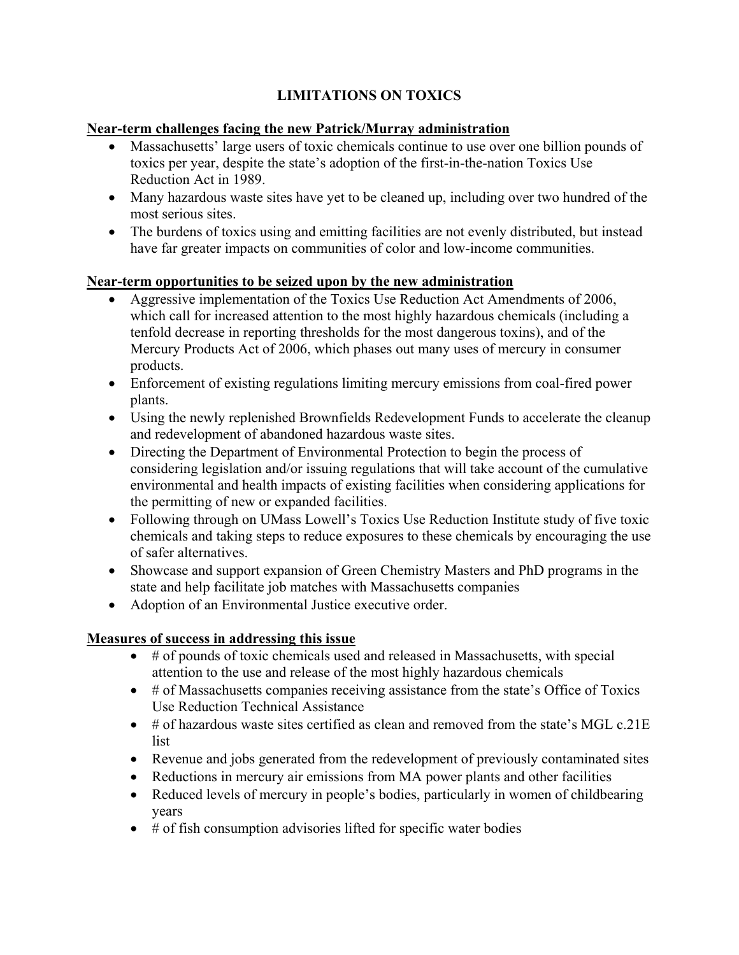### **LIMITATIONS ON TOXICS**

### **Near-term challenges facing the new Patrick/Murray administration**

- Massachusetts' large users of toxic chemicals continue to use over one billion pounds of toxics per year, despite the state's adoption of the first-in-the-nation Toxics Use Reduction Act in 1989.
- Many hazardous waste sites have yet to be cleaned up, including over two hundred of the most serious sites.
- The burdens of toxics using and emitting facilities are not evenly distributed, but instead have far greater impacts on communities of color and low-income communities.

### **Near-term opportunities to be seized upon by the new administration**

- Aggressive implementation of the Toxics Use Reduction Act Amendments of 2006, which call for increased attention to the most highly hazardous chemicals (including a tenfold decrease in reporting thresholds for the most dangerous toxins), and of the Mercury Products Act of 2006, which phases out many uses of mercury in consumer products.
- Enforcement of existing regulations limiting mercury emissions from coal-fired power plants.
- Using the newly replenished Brownfields Redevelopment Funds to accelerate the cleanup and redevelopment of abandoned hazardous waste sites.
- Directing the Department of Environmental Protection to begin the process of considering legislation and/or issuing regulations that will take account of the cumulative environmental and health impacts of existing facilities when considering applications for the permitting of new or expanded facilities.
- Following through on UMass Lowell's Toxics Use Reduction Institute study of five toxic chemicals and taking steps to reduce exposures to these chemicals by encouraging the use of safer alternatives.
- Showcase and support expansion of Green Chemistry Masters and PhD programs in the state and help facilitate job matches with Massachusetts companies
- Adoption of an Environmental Justice executive order.

### **Measures of success in addressing this issue**

- # of pounds of toxic chemicals used and released in Massachusetts, with special attention to the use and release of the most highly hazardous chemicals
- # of Massachusetts companies receiving assistance from the state's Office of Toxics Use Reduction Technical Assistance
- $\bullet$  # of hazardous waste sites certified as clean and removed from the state's MGL c.21E list
- Revenue and jobs generated from the redevelopment of previously contaminated sites
- Reductions in mercury air emissions from MA power plants and other facilities
- Reduced levels of mercury in people's bodies, particularly in women of childbearing years
- $\bullet$  # of fish consumption advisories lifted for specific water bodies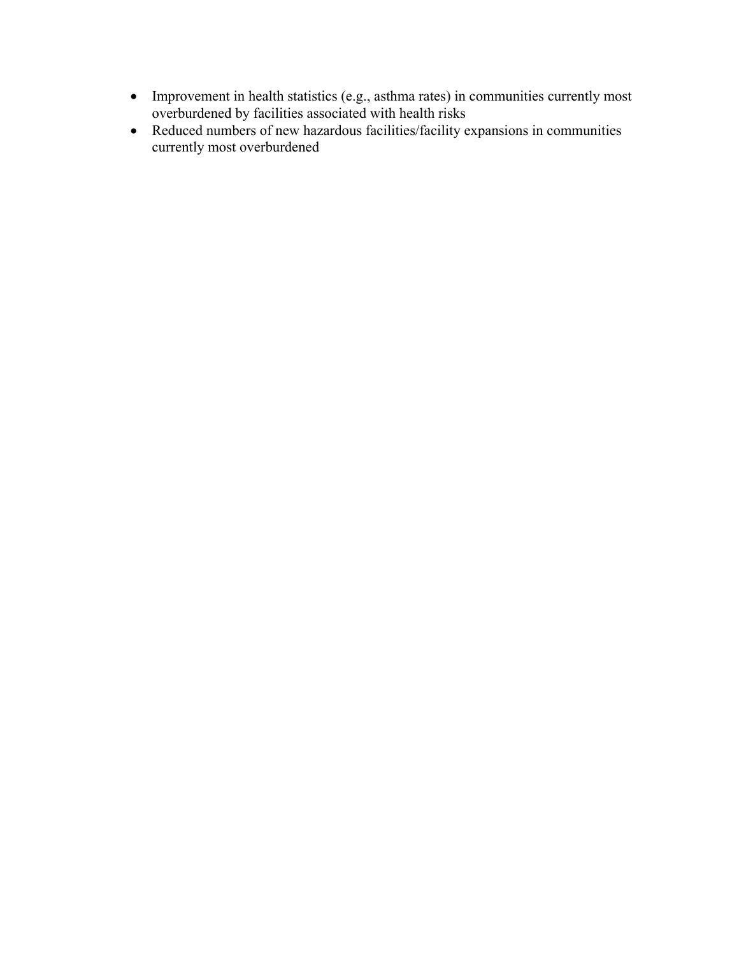- Improvement in health statistics (e.g., asthma rates) in communities currently most overburdened by facilities associated with health risks
- Reduced numbers of new hazardous facilities/facility expansions in communities currently most overburdened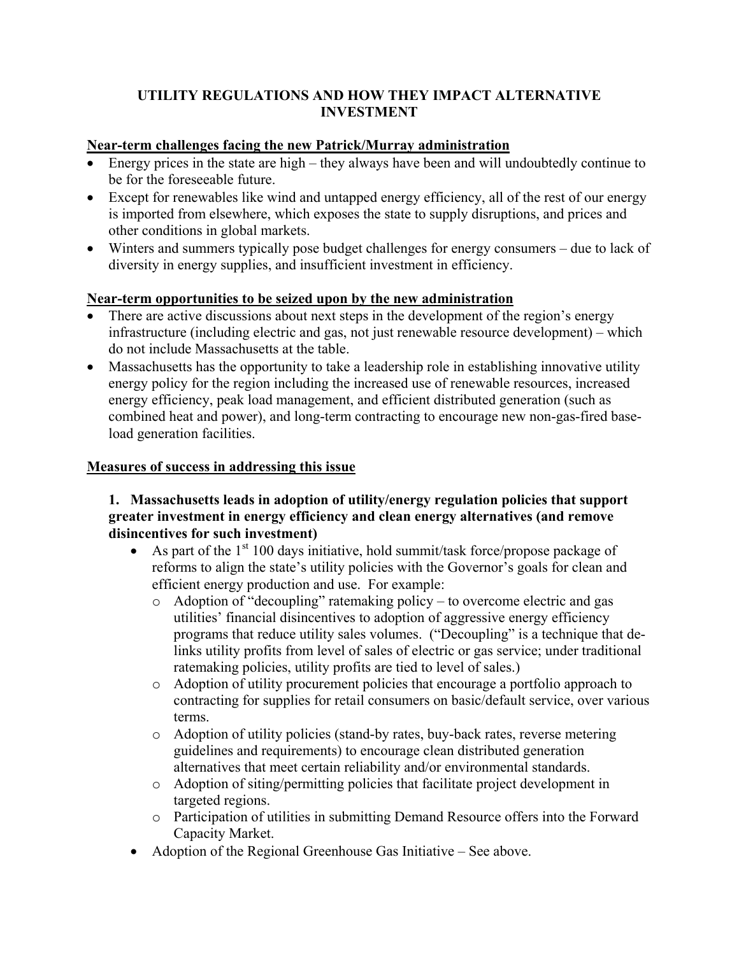### **UTILITY REGULATIONS AND HOW THEY IMPACT ALTERNATIVE INVESTMENT**

### **Near-term challenges facing the new Patrick/Murray administration**

- Energy prices in the state are high they always have been and will undoubtedly continue to be for the foreseeable future.
- Except for renewables like wind and untapped energy efficiency, all of the rest of our energy is imported from elsewhere, which exposes the state to supply disruptions, and prices and other conditions in global markets.
- Winters and summers typically pose budget challenges for energy consumers due to lack of diversity in energy supplies, and insufficient investment in efficiency.

### **Near-term opportunities to be seized upon by the new administration**

- There are active discussions about next steps in the development of the region's energy infrastructure (including electric and gas, not just renewable resource development) – which do not include Massachusetts at the table.
- Massachusetts has the opportunity to take a leadership role in establishing innovative utility energy policy for the region including the increased use of renewable resources, increased energy efficiency, peak load management, and efficient distributed generation (such as combined heat and power), and long-term contracting to encourage new non-gas-fired baseload generation facilities.

### **Measures of success in addressing this issue**

### **1. Massachusetts leads in adoption of utility/energy regulation policies that support greater investment in energy efficiency and clean energy alternatives (and remove disincentives for such investment)**

- As part of the  $1<sup>st</sup> 100$  days initiative, hold summit/task force/propose package of reforms to align the state's utility policies with the Governor's goals for clean and efficient energy production and use. For example:
	- o Adoption of "decoupling" ratemaking policy to overcome electric and gas utilities' financial disincentives to adoption of aggressive energy efficiency programs that reduce utility sales volumes. ("Decoupling" is a technique that delinks utility profits from level of sales of electric or gas service; under traditional ratemaking policies, utility profits are tied to level of sales.)
	- o Adoption of utility procurement policies that encourage a portfolio approach to contracting for supplies for retail consumers on basic/default service, over various terms.
	- o Adoption of utility policies (stand-by rates, buy-back rates, reverse metering guidelines and requirements) to encourage clean distributed generation alternatives that meet certain reliability and/or environmental standards.
	- o Adoption of siting/permitting policies that facilitate project development in targeted regions.
	- o Participation of utilities in submitting Demand Resource offers into the Forward Capacity Market.
- Adoption of the Regional Greenhouse Gas Initiative See above.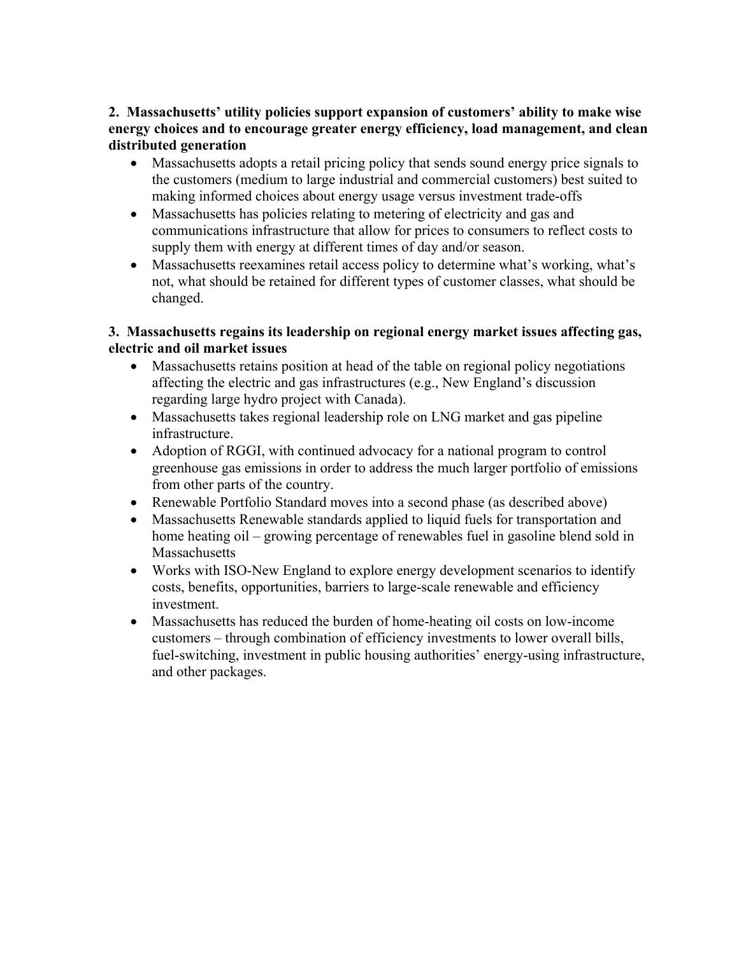### **2. Massachusetts' utility policies support expansion of customers' ability to make wise energy choices and to encourage greater energy efficiency, load management, and clean distributed generation**

- Massachusetts adopts a retail pricing policy that sends sound energy price signals to the customers (medium to large industrial and commercial customers) best suited to making informed choices about energy usage versus investment trade-offs
- Massachusetts has policies relating to metering of electricity and gas and communications infrastructure that allow for prices to consumers to reflect costs to supply them with energy at different times of day and/or season.
- Massachusetts reexamines retail access policy to determine what's working, what's not, what should be retained for different types of customer classes, what should be changed.

### **3. Massachusetts regains its leadership on regional energy market issues affecting gas, electric and oil market issues**

- Massachusetts retains position at head of the table on regional policy negotiations affecting the electric and gas infrastructures (e.g., New England's discussion regarding large hydro project with Canada).
- Massachusetts takes regional leadership role on LNG market and gas pipeline infrastructure.
- Adoption of RGGI, with continued advocacy for a national program to control greenhouse gas emissions in order to address the much larger portfolio of emissions from other parts of the country.
- Renewable Portfolio Standard moves into a second phase (as described above)
- Massachusetts Renewable standards applied to liquid fuels for transportation and home heating oil – growing percentage of renewables fuel in gasoline blend sold in Massachusetts
- Works with ISO-New England to explore energy development scenarios to identify costs, benefits, opportunities, barriers to large-scale renewable and efficiency investment.
- Massachusetts has reduced the burden of home-heating oil costs on low-income customers – through combination of efficiency investments to lower overall bills, fuel-switching, investment in public housing authorities' energy-using infrastructure, and other packages.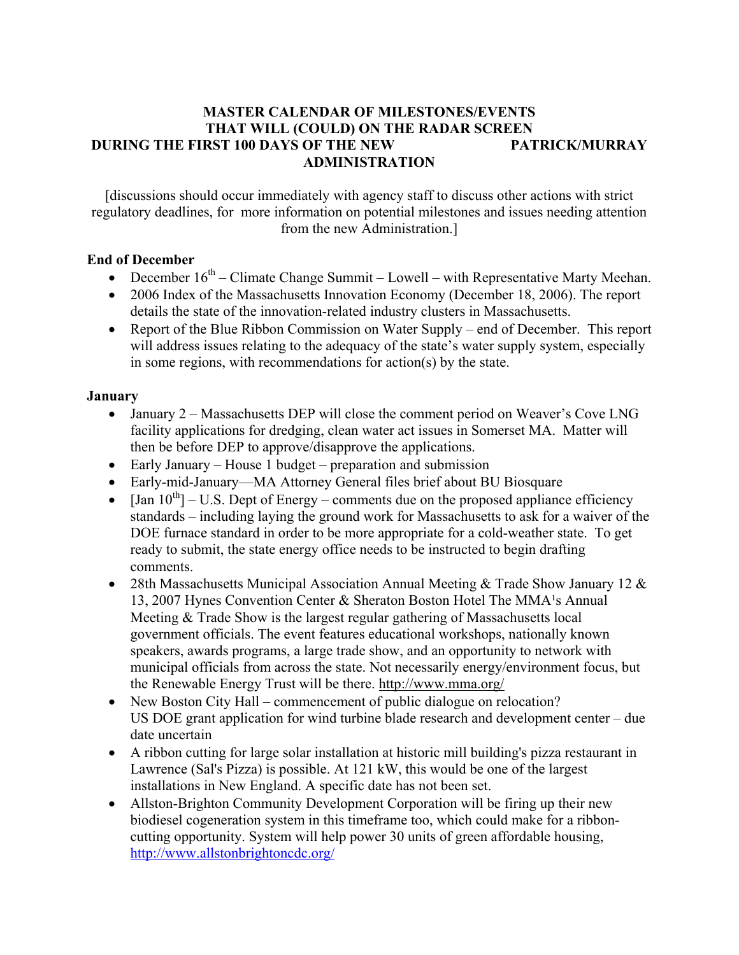#### **MASTER CALENDAR OF MILESTONES/EVENTS THAT WILL (COULD) ON THE RADAR SCREEN DURING THE FIRST 100 DAYS OF THE NEW PATRICK/MURRAY ADMINISTRATION**

[discussions should occur immediately with agency staff to discuss other actions with strict regulatory deadlines, for more information on potential milestones and issues needing attention from the new Administration.]

### **End of December**

- December  $16<sup>th</sup>$  Climate Change Summit Lowell with Representative Marty Meehan.
- 2006 Index of the Massachusetts Innovation Economy (December 18, 2006). The report details the state of the innovation-related industry clusters in Massachusetts.
- Report of the Blue Ribbon Commission on Water Supply end of December. This report will address issues relating to the adequacy of the state's water supply system, especially in some regions, with recommendations for action(s) by the state.

### **January**

- January 2 Massachusetts DEP will close the comment period on Weaver's Cove LNG facility applications for dredging, clean water act issues in Somerset MA. Matter will then be before DEP to approve/disapprove the applications.
- Early January House 1 budget preparation and submission
- Early-mid-January—MA Attorney General files brief about BU Biosquare
- $\text{[Jan }10^{\text{th}} \text{U.S.}$  Dept of Energy comments due on the proposed appliance efficiency standards – including laying the ground work for Massachusetts to ask for a waiver of the DOE furnace standard in order to be more appropriate for a cold-weather state. To get ready to submit, the state energy office needs to be instructed to begin drafting comments.
- 28th Massachusetts Municipal Association Annual Meeting & Trade Show January 12 & 13, 2007 Hynes Convention Center & Sheraton Boston Hotel The MMA<sup>1</sup>s Annual Meeting & Trade Show is the largest regular gathering of Massachusetts local government officials. The event features educational workshops, nationally known speakers, awards programs, a large trade show, and an opportunity to network with municipal officials from across the state. Not necessarily energy/environment focus, but the Renewable Energy Trust will be there. http://www.mma.org/
- New Boston City Hall commencement of public dialogue on relocation? US DOE grant application for wind turbine blade research and development center – due date uncertain
- A ribbon cutting for large solar installation at historic mill building's pizza restaurant in Lawrence (Sal's Pizza) is possible. At 121 kW, this would be one of the largest installations in New England. A specific date has not been set.
- Allston-Brighton Community Development Corporation will be firing up their new biodiesel cogeneration system in this timeframe too, which could make for a ribboncutting opportunity. System will help power 30 units of green affordable housing, http://www.allstonbrightoncdc.org/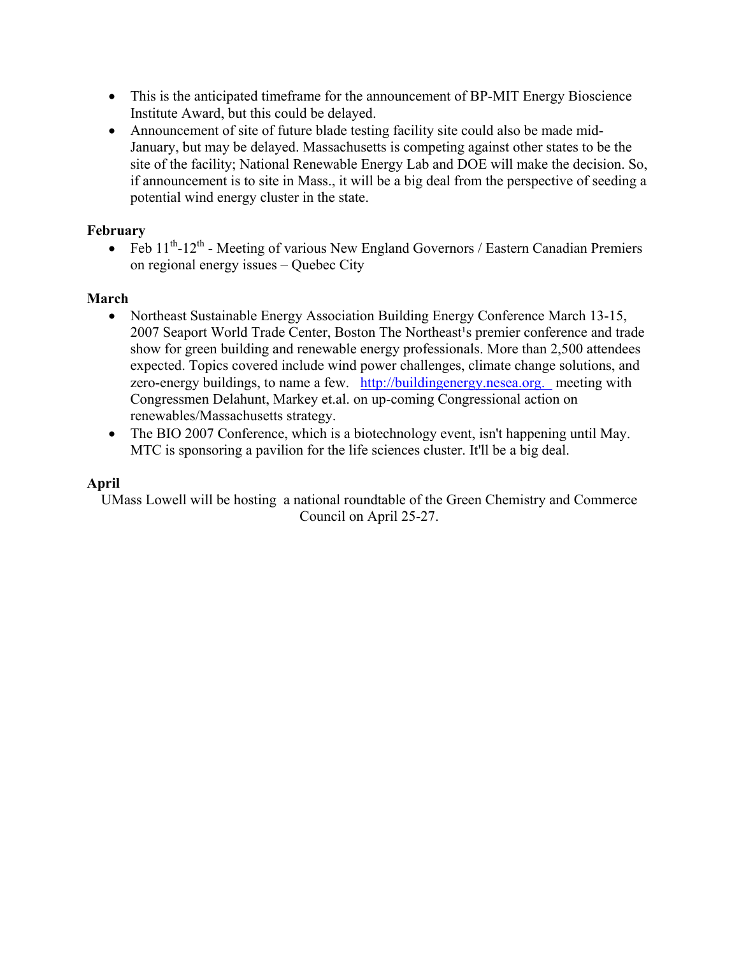- This is the anticipated timeframe for the announcement of BP-MIT Energy Bioscience Institute Award, but this could be delayed.
- Announcement of site of future blade testing facility site could also be made mid-January, but may be delayed. Massachusetts is competing against other states to be the site of the facility; National Renewable Energy Lab and DOE will make the decision. So, if announcement is to site in Mass., it will be a big deal from the perspective of seeding a potential wind energy cluster in the state.

### **February**

• Feb  $11^{th}$ - $12^{th}$  - Meeting of various New England Governors / Eastern Canadian Premiers on regional energy issues – Quebec City

### **March**

- Northeast Sustainable Energy Association Building Energy Conference March 13-15, 2007 Seaport World Trade Center, Boston The Northeast<sup>1</sup>s premier conference and trade show for green building and renewable energy professionals. More than 2,500 attendees expected. Topics covered include wind power challenges, climate change solutions, and zero-energy buildings, to name a few. [http://buildingenergy.nesea.org.](http://buildingenergy.nesea.org/) meeting with Congressmen Delahunt, Markey et.al. on up-coming Congressional action on renewables/Massachusetts strategy.
- The BIO 2007 Conference, which is a biotechnology event, isn't happening until May. MTC is sponsoring a pavilion for the life sciences cluster. It'll be a big deal.

### **April**

UMass Lowell will be hosting a national roundtable of the Green Chemistry and Commerce Council on April 25-27.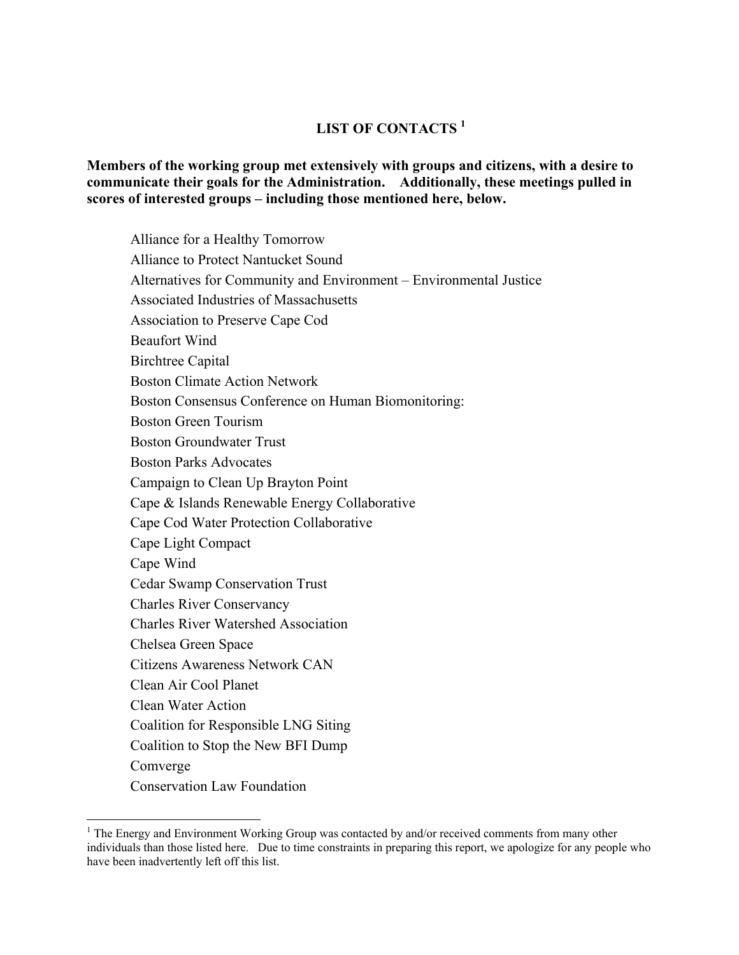### **LIST OF CONTACTS [1](#page-18-0)**

**Members of the working group met extensively with groups and citizens, with a desire to communicate their goals for the Administration. Additionally, these meetings pulled in scores of interested groups – including those mentioned here, below.** 

Alliance for a Healthy Tomorrow Alliance to Protect Nantucket Sound Alternatives for Community and Environment – Environmental Justice Associated Industries of Massachusetts Association to Preserve Cape Cod Beaufort Wind Birchtree Capital Boston Climate Action Network Boston Consensus Conference on Human Biomonitoring: Boston Green Tourism Boston Groundwater Trust Boston Parks Advocates Campaign to Clean Up Brayton Point Cape & Islands Renewable Energy Collaborative Cape Cod Water Protection Collaborative Cape Light Compact Cape Wind Cedar Swamp Conservation Trust Charles River Conservancy Charles River Watershed Association Chelsea Green Space Citizens Awareness Network CAN Clean Air Cool Planet Clean Water Action Coalition for Responsible LNG Siting Coalition to Stop the New BFI Dump Comverge Conservation Law Foundation

 $\overline{a}$ 

<span id="page-18-0"></span><sup>&</sup>lt;sup>1</sup> The Energy and Environment Working Group was contacted by and/or received comments from many other individuals than those listed here. Due to time constraints in preparing this report, we apologize for any people who have been inadvertently left off this list.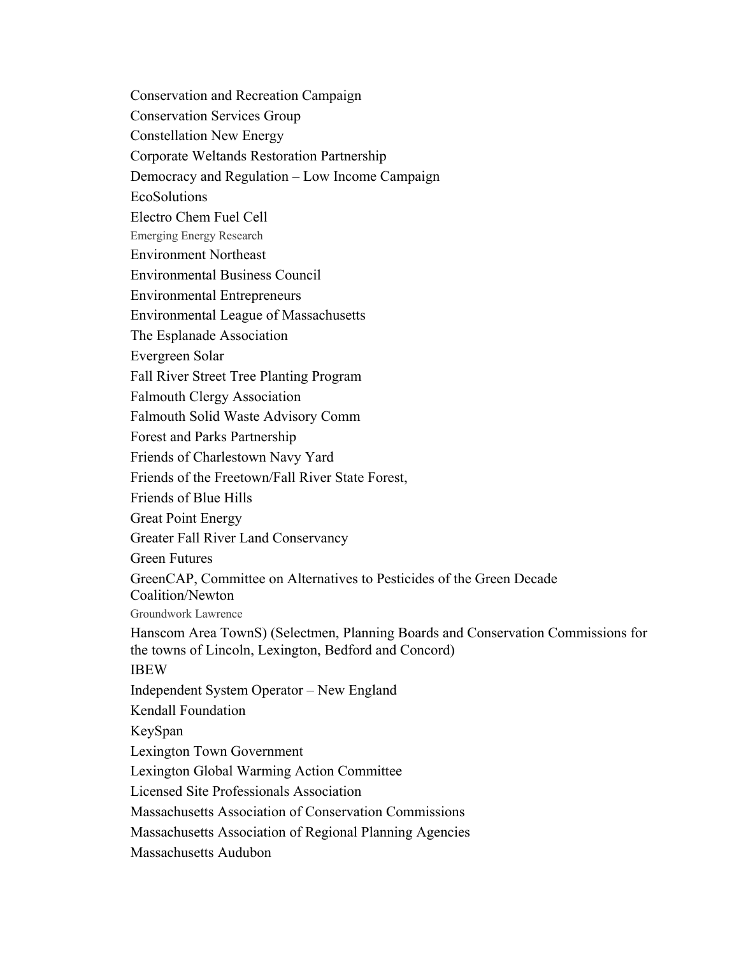Conservation and Recreation Campaign Conservation Services Group Constellation New Energy Corporate Weltands Restoration Partnership Democracy and Regulation – Low Income Campaign EcoSolutions Electro Chem Fuel Cell Emerging Energy Research Environment Northeast Environmental Business Council Environmental Entrepreneurs Environmental League of Massachusetts The Esplanade Association Evergreen Solar Fall River Street Tree Planting Program Falmouth Clergy Association Falmouth Solid Waste Advisory Comm Forest and Parks Partnership Friends of Charlestown Navy Yard Friends of the Freetown/Fall River State Forest, Friends of Blue Hills Great Point Energy Greater Fall River Land Conservancy Green Futures GreenCAP, Committee on Alternatives to Pesticides of the Green Decade Coalition/Newton Groundwork Lawrence Hanscom Area TownS) (Selectmen, Planning Boards and Conservation Commissions for the towns of Lincoln, Lexington, Bedford and Concord) IBEW Independent System Operator – New England Kendall Foundation KeySpan Lexington Town Government Lexington Global Warming Action Committee Licensed Site Professionals Association Massachusetts Association of Conservation Commissions Massachusetts Association of Regional Planning Agencies Massachusetts Audubon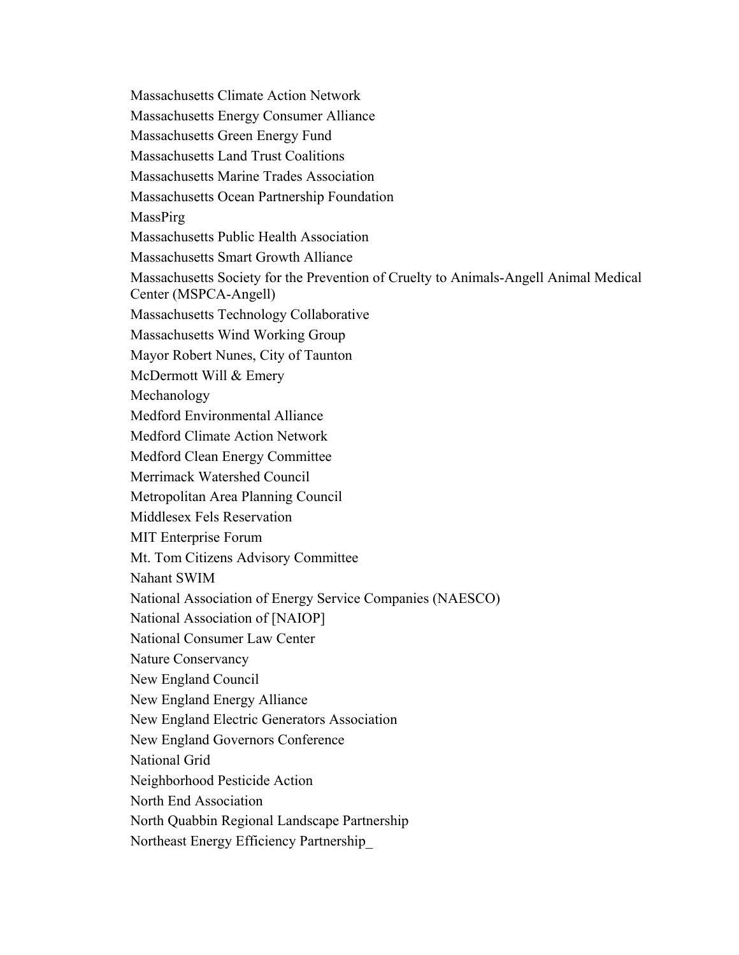Massachusetts Climate Action Network Massachusetts Energy Consumer Alliance Massachusetts Green Energy Fund Massachusetts Land Trust Coalitions Massachusetts Marine Trades Association Massachusetts Ocean Partnership Foundation **MassPirg** Massachusetts Public Health Association Massachusetts Smart Growth Alliance Massachusetts Society for the Prevention of Cruelty to Animals-Angell Animal Medical Center (MSPCA-Angell) Massachusetts Technology Collaborative Massachusetts Wind Working Group Mayor Robert Nunes, City of Taunton McDermott Will & Emery Mechanology Medford Environmental Alliance Medford Climate Action Network Medford Clean Energy Committee Merrimack Watershed Council Metropolitan Area Planning Council Middlesex Fels Reservation MIT Enterprise Forum Mt. Tom Citizens Advisory Committee Nahant SWIM National Association of Energy Service Companies (NAESCO) National Association of [NAIOP] National Consumer Law Center Nature Conservancy New England Council New England Energy Alliance New England Electric Generators Association New England Governors Conference National Grid Neighborhood Pesticide Action North End Association North Quabbin Regional Landscape Partnership Northeast Energy Efficiency Partnership\_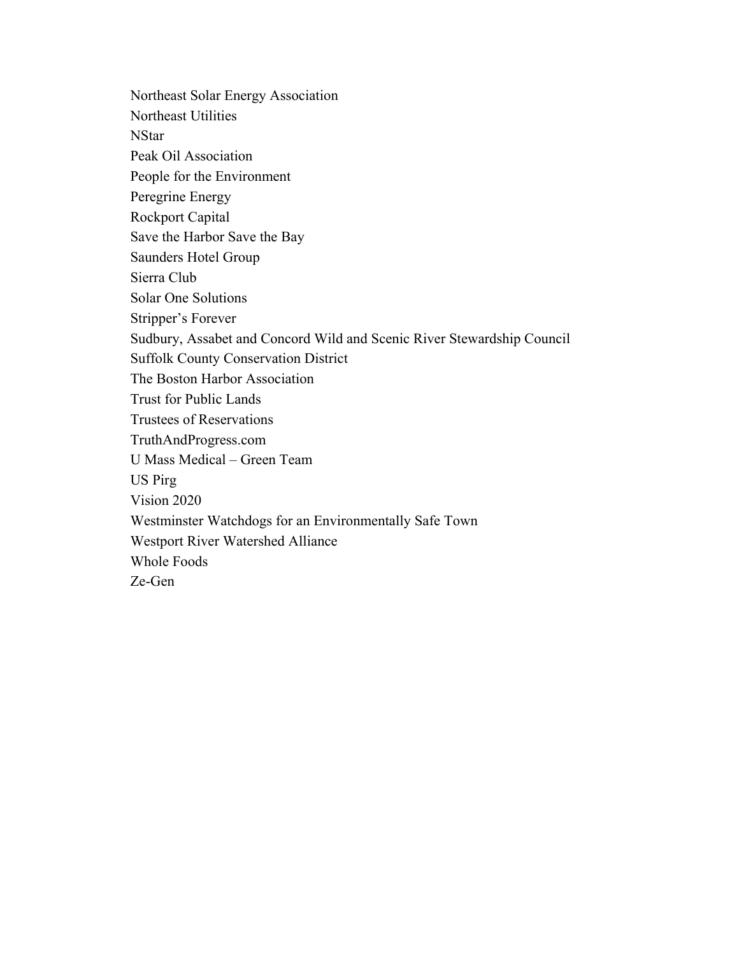Northeast Solar Energy Association Northeast Utilities **NStar** Peak Oil Association People for the Environment Peregrine Energy Rockport Capital Save the Harbor Save the Bay Saunders Hotel Group Sierra Club Solar One Solutions Stripper's Forever Sudbury, Assabet and Concord Wild and Scenic River Stewardship Council Suffolk County Conservation District The Boston Harbor Association Trust for Public Lands Trustees of Reservations TruthAndProgress.com U Mass Medical – Green Team US Pirg Vision 2020 Westminster Watchdogs for an Environmentally Safe Town Westport River Watershed Alliance Whole Foods Ze-Gen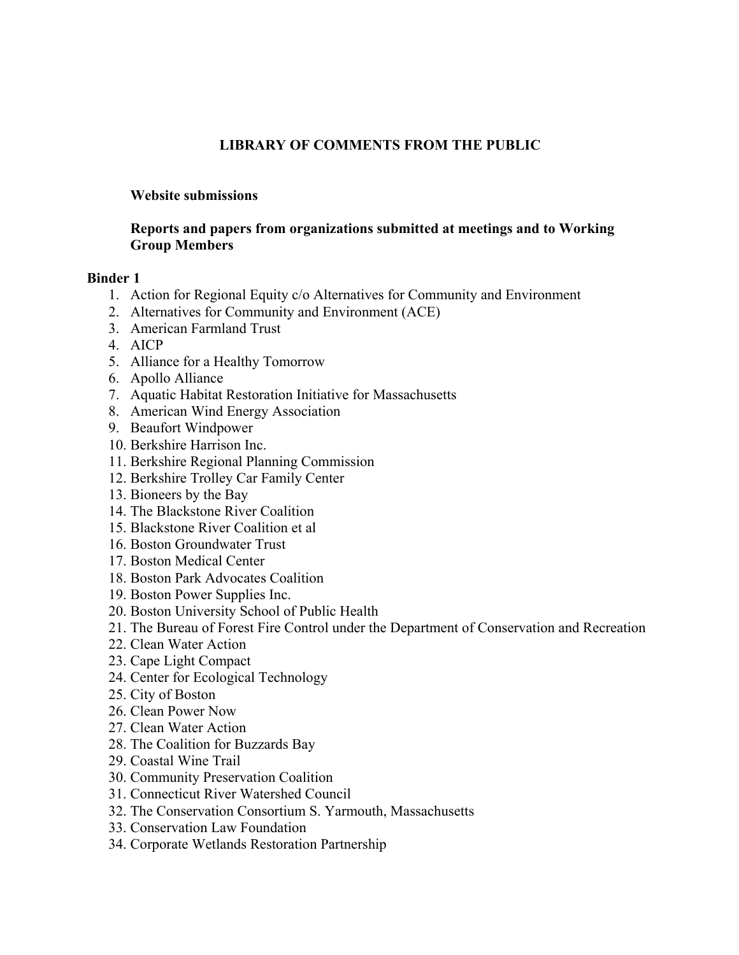### **LIBRARY OF COMMENTS FROM THE PUBLIC**

#### **Website submissions**

#### **Reports and papers from organizations submitted at meetings and to Working Group Members**

#### **Binder 1**

- 1. Action for Regional Equity c/o Alternatives for Community and Environment
- 2. Alternatives for Community and Environment (ACE)
- 3. American Farmland Trust
- 4. AICP
- 5. Alliance for a Healthy Tomorrow
- 6. Apollo Alliance
- 7. Aquatic Habitat Restoration Initiative for Massachusetts
- 8. American Wind Energy Association
- 9. Beaufort Windpower
- 10. Berkshire Harrison Inc.
- 11. Berkshire Regional Planning Commission
- 12. Berkshire Trolley Car Family Center
- 13. Bioneers by the Bay
- 14. The Blackstone River Coalition
- 15. Blackstone River Coalition et al
- 16. Boston Groundwater Trust
- 17. Boston Medical Center
- 18. Boston Park Advocates Coalition
- 19. Boston Power Supplies Inc.
- 20. Boston University School of Public Health
- 21. The Bureau of Forest Fire Control under the Department of Conservation and Recreation
- 22. Clean Water Action
- 23. Cape Light Compact
- 24. Center for Ecological Technology
- 25. City of Boston
- 26. Clean Power Now
- 27. Clean Water Action
- 28. The Coalition for Buzzards Bay
- 29. Coastal Wine Trail
- 30. Community Preservation Coalition
- 31. Connecticut River Watershed Council
- 32. The Conservation Consortium S. Yarmouth, Massachusetts
- 33. Conservation Law Foundation
- 34. Corporate Wetlands Restoration Partnership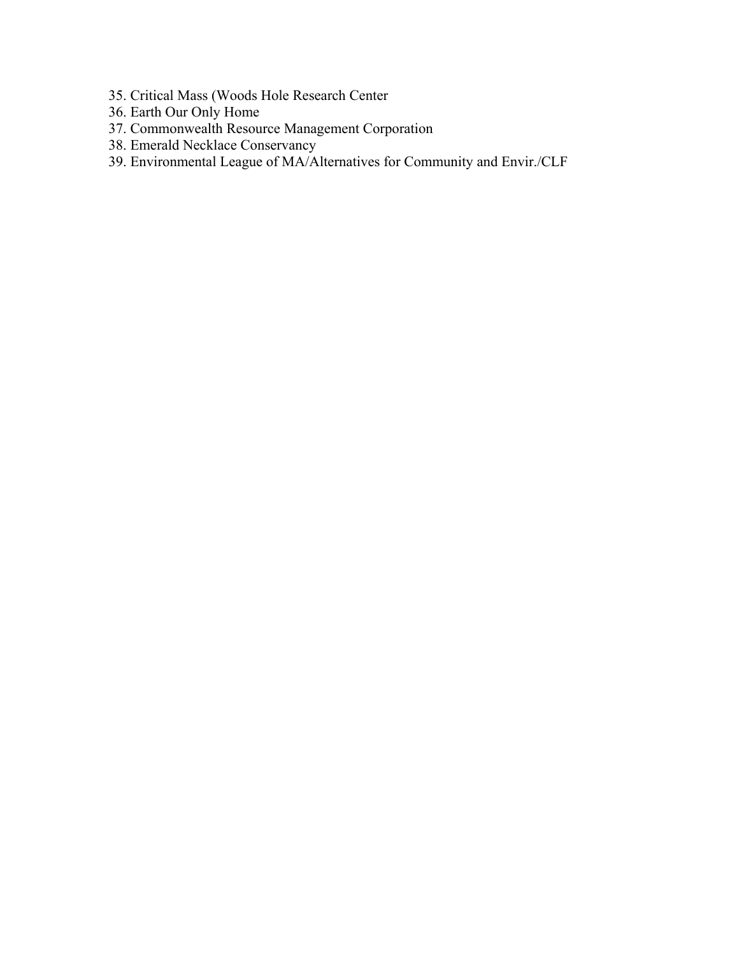- 35. Critical Mass (Woods Hole Research Center
- 36. Earth Our Only Home
- 37. Commonwealth Resource Management Corporation
- 38. Emerald Necklace Conservancy
- 39. Environmental League of MA/Alternatives for Community and Envir./CLF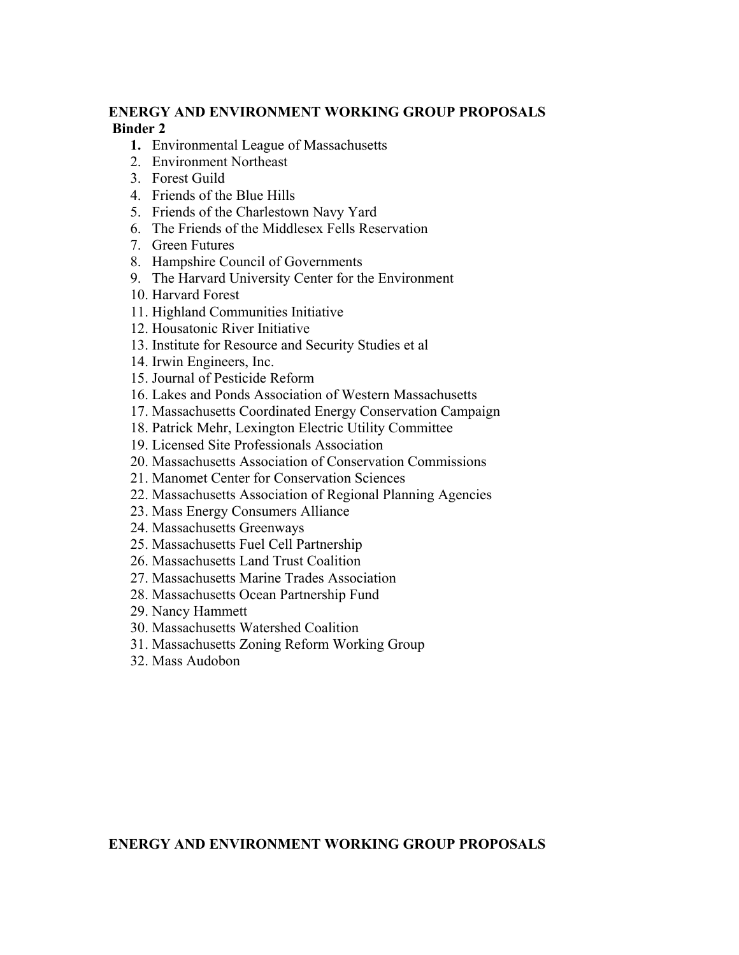### **ENERGY AND ENVIRONMENT WORKING GROUP PROPOSALS Binder 2**

- **1.** Environmental League of Massachusetts
- 2. Environment Northeast
- 3. Forest Guild
- 4. Friends of the Blue Hills
- 5. Friends of the Charlestown Navy Yard
- 6. The Friends of the Middlesex Fells Reservation
- 7. Green Futures
- 8. Hampshire Council of Governments
- 9. The Harvard University Center for the Environment
- 10. Harvard Forest
- 11. Highland Communities Initiative
- 12. Housatonic River Initiative
- 13. Institute for Resource and Security Studies et al
- 14. Irwin Engineers, Inc.
- 15. Journal of Pesticide Reform
- 16. Lakes and Ponds Association of Western Massachusetts
- 17. Massachusetts Coordinated Energy Conservation Campaign
- 18. Patrick Mehr, Lexington Electric Utility Committee
- 19. Licensed Site Professionals Association
- 20. Massachusetts Association of Conservation Commissions
- 21. Manomet Center for Conservation Sciences
- 22. Massachusetts Association of Regional Planning Agencies
- 23. Mass Energy Consumers Alliance
- 24. Massachusetts Greenways
- 25. Massachusetts Fuel Cell Partnership
- 26. Massachusetts Land Trust Coalition
- 27. Massachusetts Marine Trades Association
- 28. Massachusetts Ocean Partnership Fund
- 29. Nancy Hammett
- 30. Massachusetts Watershed Coalition
- 31. Massachusetts Zoning Reform Working Group
- 32. Mass Audobon

**ENERGY AND ENVIRONMENT WORKING GROUP PROPOSALS**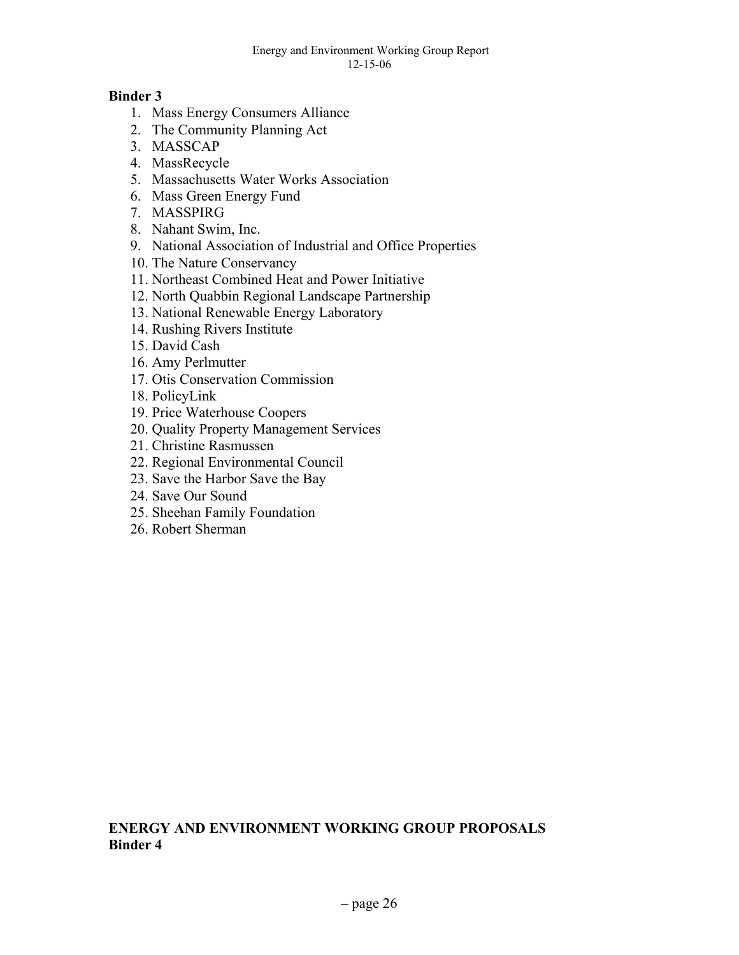#### Energy and Environment Working Group Report 12-15-06

### **Binder 3**

- 1. Mass Energy Consumers Alliance
- 2. The Community Planning Act
- 3. MASSCAP
- 4. MassRecycle
- 5. Massachusetts Water Works Association
- 6. Mass Green Energy Fund
- 7. MASSPIRG
- 8. Nahant Swim, Inc.
- 9. National Association of Industrial and Office Properties
- 10. The Nature Conservancy
- 11. Northeast Combined Heat and Power Initiative
- 12. North Quabbin Regional Landscape Partnership
- 13. National Renewable Energy Laboratory
- 14. Rushing Rivers Institute
- 15. David Cash
- 16. Amy Perlmutter
- 17. Otis Conservation Commission
- 18. PolicyLink
- 19. Price Waterhouse Coopers
- 20. Quality Property Management Services
- 21. Christine Rasmussen
- 22. Regional Environmental Council
- 23. Save the Harbor Save the Bay
- 24. Save Our Sound
- 25. Sheehan Family Foundation
- 26. Robert Sherman

### **ENERGY AND ENVIRONMENT WORKING GROUP PROPOSALS Binder 4**